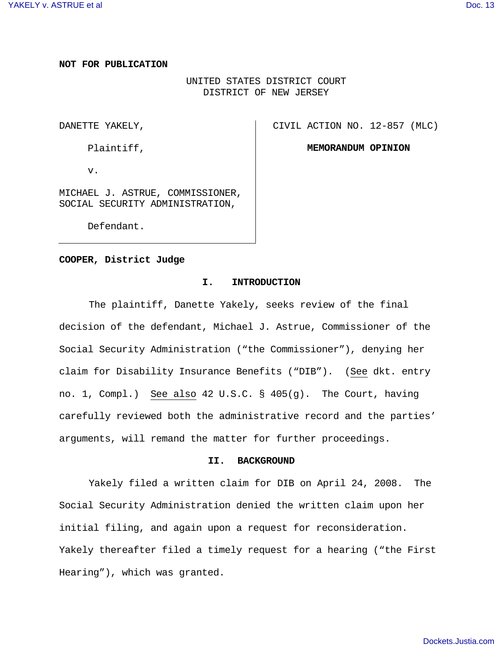### **NOT FOR PUBLICATION**

# UNITED STATES DISTRICT COURT DISTRICT OF NEW JERSEY

DANETTE YAKELY,

CIVIL ACTION NO. 12-857 (MLC)

Plaintiff,

**MEMORANDUM OPINION**

v.

MICHAEL J. ASTRUE, COMMISSIONER, SOCIAL SECURITY ADMINISTRATION,

Defendant.

#### **COOPER, District Judge**

#### **I. INTRODUCTION**

The plaintiff, Danette Yakely, seeks review of the final decision of the defendant, Michael J. Astrue, Commissioner of the Social Security Administration ("the Commissioner"), denying her claim for Disability Insurance Benefits ("DIB"). (See dkt. entry no. 1, Compl.) See also 42 U.S.C. § 405(g). The Court, having carefully reviewed both the administrative record and the parties' arguments, will remand the matter for further proceedings.

#### **II. BACKGROUND**

Yakely filed a written claim for DIB on April 24, 2008. The Social Security Administration denied the written claim upon her initial filing, and again upon a request for reconsideration. Yakely thereafter filed a timely request for a hearing ("the First Hearing"), which was granted.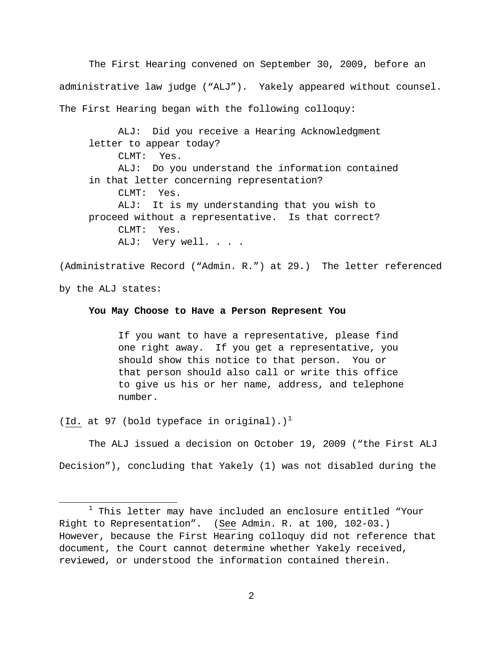The First Hearing convened on September 30, 2009, before an administrative law judge ("ALJ"). Yakely appeared without counsel. The First Hearing began with the following colloquy:

ALJ: Did you receive a Hearing Acknowledgment letter to appear today? CLMT: Yes. ALJ: Do you understand the information contained in that letter concerning representation? CLMT: Yes. ALJ: It is my understanding that you wish to proceed without a representative. Is that correct? CLMT: Yes. ALJ: Very well. . . .

(Administrative Record ("Admin. R.") at 29.) The letter referenced by the ALJ states:

### **You May Choose to Have a Person Represent You**

If you want to have a representative, please find one right away. If you get a representative, you should show this notice to that person. You or that person should also call or write this office to give us his or her name, address, and telephone number.

(Id. at 97 (bold typeface in original).)<sup>[1](#page-1-0)</sup>

1

The ALJ issued a decision on October 19, 2009 ("the First ALJ Decision"), concluding that Yakely (1) was not disabled during the

<span id="page-1-0"></span> $1$  This letter may have included an enclosure entitled "Your Right to Representation". (See Admin. R. at 100, 102-03.) However, because the First Hearing colloquy did not reference that document, the Court cannot determine whether Yakely received, reviewed, or understood the information contained therein.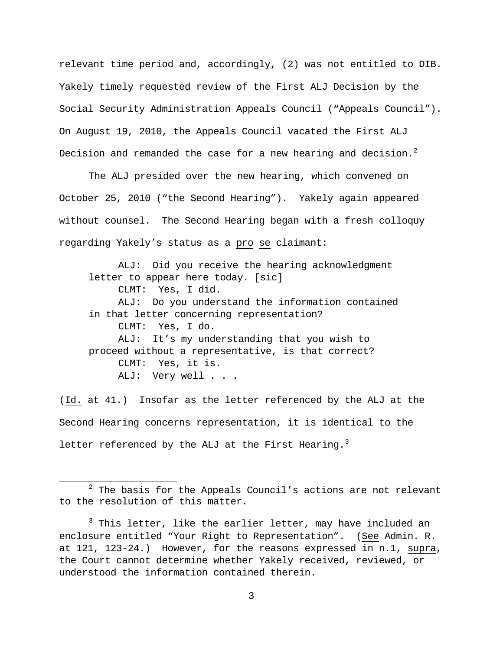relevant time period and, accordingly, (2) was not entitled to DIB. Yakely timely requested review of the First ALJ Decision by the Social Security Administration Appeals Council ("Appeals Council"). On August 19, 2010, the Appeals Council vacated the First ALJ Decision and remanded the case for a new hearing and decision.<sup>[2](#page-2-0)</sup>

The ALJ presided over the new hearing, which convened on October 25, 2010 ("the Second Hearing"). Yakely again appeared without counsel. The Second Hearing began with a fresh colloquy regarding Yakely's status as a pro se claimant:

ALJ: Did you receive the hearing acknowledgment letter to appear here today. [sic] CLMT: Yes, I did. ALJ: Do you understand the information contained in that letter concerning representation? CLMT: Yes, I do. ALJ: It's my understanding that you wish to proceed without a representative, is that correct? CLMT: Yes, it is. ALJ: Very well . . .

(Id. at 41.) Insofar as the letter referenced by the ALJ at the Second Hearing concerns representation, it is identical to the letter referenced by the ALJ at the First Hearing.<sup>[3](#page-2-1)</sup>

<span id="page-2-0"></span> $2$  The basis for the Appeals Council's actions are not relevant to the resolution of this matter.

<span id="page-2-1"></span> $3$  This letter, like the earlier letter, may have included an enclosure entitled "Your Right to Representation". (See Admin. R. at 121, 123-24.) However, for the reasons expressed in n.1, supra, the Court cannot determine whether Yakely received, reviewed, or understood the information contained therein.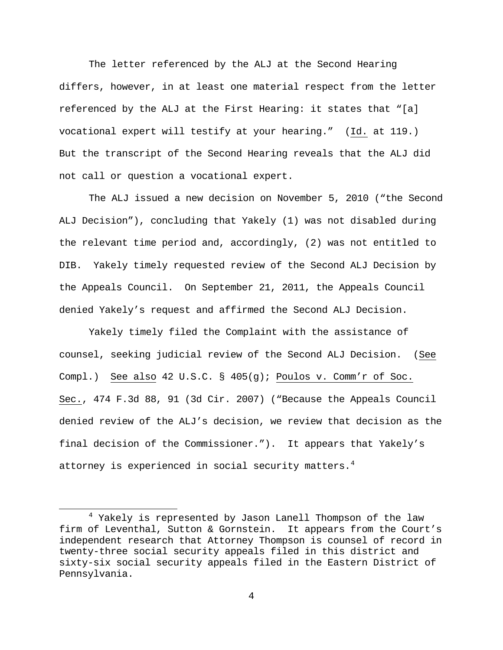The letter referenced by the ALJ at the Second Hearing differs, however, in at least one material respect from the letter referenced by the ALJ at the First Hearing: it states that "[a] vocational expert will testify at your hearing." (Id. at 119.) But the transcript of the Second Hearing reveals that the ALJ did not call or question a vocational expert.

The ALJ issued a new decision on November 5, 2010 ("the Second ALJ Decision"), concluding that Yakely (1) was not disabled during the relevant time period and, accordingly, (2) was not entitled to DIB. Yakely timely requested review of the Second ALJ Decision by the Appeals Council. On September 21, 2011, the Appeals Council denied Yakely's request and affirmed the Second ALJ Decision.

Yakely timely filed the Complaint with the assistance of counsel, seeking judicial review of the Second ALJ Decision. (See Compl.) See also 42 U.S.C. § 405(g); Poulos v. Comm'r of Soc. Sec., 474 F.3d 88, 91 (3d Cir. 2007) ("Because the Appeals Council denied review of the ALJ's decision, we review that decision as the final decision of the Commissioner."). It appears that Yakely's attorney is experienced in social security matters.<sup>[4](#page-3-0)</sup>

-

<span id="page-3-0"></span><sup>4</sup> Yakely is represented by Jason Lanell Thompson of the law firm of Leventhal, Sutton & Gornstein. It appears from the Court's independent research that Attorney Thompson is counsel of record in twenty-three social security appeals filed in this district and sixty-six social security appeals filed in the Eastern District of Pennsylvania.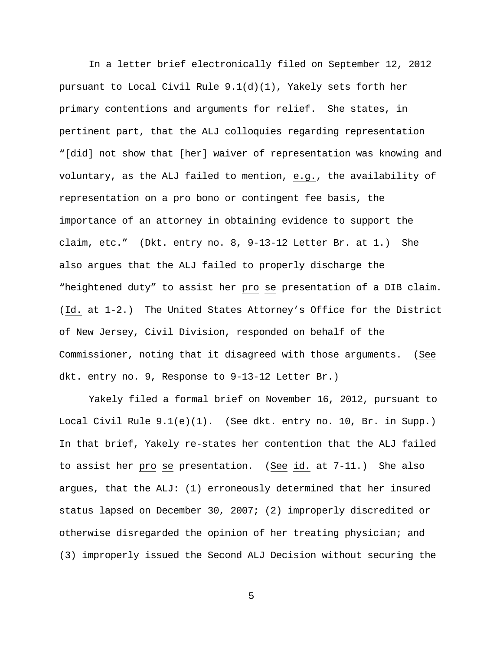In a letter brief electronically filed on September 12, 2012 pursuant to Local Civil Rule 9.1(d)(1), Yakely sets forth her primary contentions and arguments for relief. She states, in pertinent part, that the ALJ colloquies regarding representation "[did] not show that [her] waiver of representation was knowing and voluntary, as the ALJ failed to mention, e.g., the availability of representation on a pro bono or contingent fee basis, the importance of an attorney in obtaining evidence to support the claim, etc." (Dkt. entry no. 8, 9-13-12 Letter Br. at 1.) She also argues that the ALJ failed to properly discharge the "heightened duty" to assist her pro se presentation of a DIB claim. (Id. at 1-2.) The United States Attorney's Office for the District of New Jersey, Civil Division, responded on behalf of the Commissioner, noting that it disagreed with those arguments. (See dkt. entry no. 9, Response to 9-13-12 Letter Br.)

Yakely filed a formal brief on November 16, 2012, pursuant to Local Civil Rule 9.1(e)(1). (See dkt. entry no. 10, Br. in Supp.) In that brief, Yakely re-states her contention that the ALJ failed to assist her pro se presentation. (See id. at 7-11.) She also argues, that the ALJ: (1) erroneously determined that her insured status lapsed on December 30, 2007; (2) improperly discredited or otherwise disregarded the opinion of her treating physician; and (3) improperly issued the Second ALJ Decision without securing the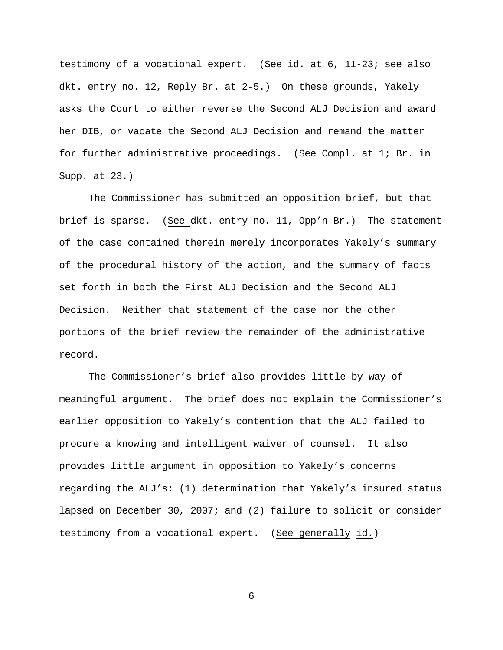testimony of a vocational expert. (See id. at 6, 11-23; see also dkt. entry no. 12, Reply Br. at 2-5.) On these grounds, Yakely asks the Court to either reverse the Second ALJ Decision and award her DIB, or vacate the Second ALJ Decision and remand the matter for further administrative proceedings. (See Compl. at 1; Br. in Supp. at 23.)

The Commissioner has submitted an opposition brief, but that brief is sparse. (See dkt. entry no. 11, Opp'n Br.) The statement of the case contained therein merely incorporates Yakely's summary of the procedural history of the action, and the summary of facts set forth in both the First ALJ Decision and the Second ALJ Decision. Neither that statement of the case nor the other portions of the brief review the remainder of the administrative record.

The Commissioner's brief also provides little by way of meaningful argument. The brief does not explain the Commissioner's earlier opposition to Yakely's contention that the ALJ failed to procure a knowing and intelligent waiver of counsel. It also provides little argument in opposition to Yakely's concerns regarding the ALJ's: (1) determination that Yakely's insured status lapsed on December 30, 2007; and (2) failure to solicit or consider testimony from a vocational expert. (See generally id.)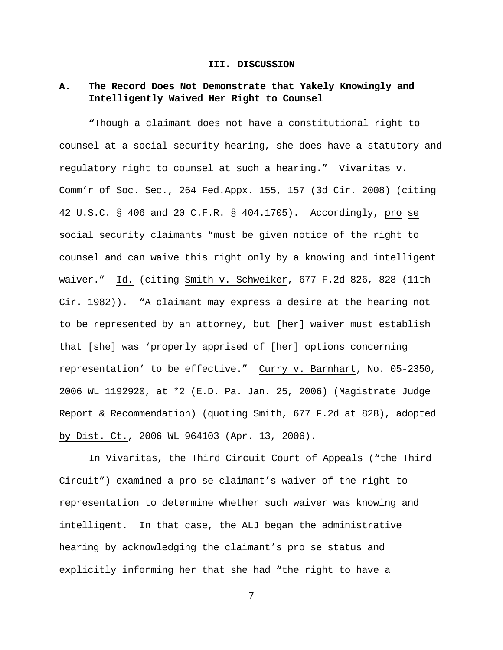#### **III. DISCUSSION**

# **A. The Record Does Not Demonstrate that Yakely Knowingly and Intelligently Waived Her Right to Counsel**

**"**Though a claimant does not have a constitutional right to counsel at a social security hearing, she does have a statutory and regulatory right to counsel at such a hearing." Vivaritas v. Comm'r of Soc. Sec., 264 Fed.Appx. 155, 157 (3d Cir. 2008) (citing 42 U.S.C. § 406 and 20 C.F.R. § 404.1705). Accordingly, pro se social security claimants "must be given notice of the right to counsel and can waive this right only by a knowing and intelligent waiver." Id. (citing Smith v. Schweiker, 677 F.2d 826, 828 (11th Cir. 1982)). "A claimant may express a desire at the hearing not to be represented by an attorney, but [her] waiver must establish that [she] was 'properly apprised of [her] options concerning representation' to be effective." Curry v. Barnhart, No. 05-2350, 2006 WL 1192920, at \*2 (E.D. Pa. Jan. 25, 2006) (Magistrate Judge Report & Recommendation) (quoting Smith, 677 F.2d at 828), adopted by Dist. Ct., 2006 WL 964103 (Apr. 13, 2006).

In Vivaritas, the Third Circuit Court of Appeals ("the Third Circuit") examined a pro se claimant's waiver of the right to representation to determine whether such waiver was knowing and intelligent. In that case, the ALJ began the administrative hearing by acknowledging the claimant's pro se status and explicitly informing her that she had "the right to have a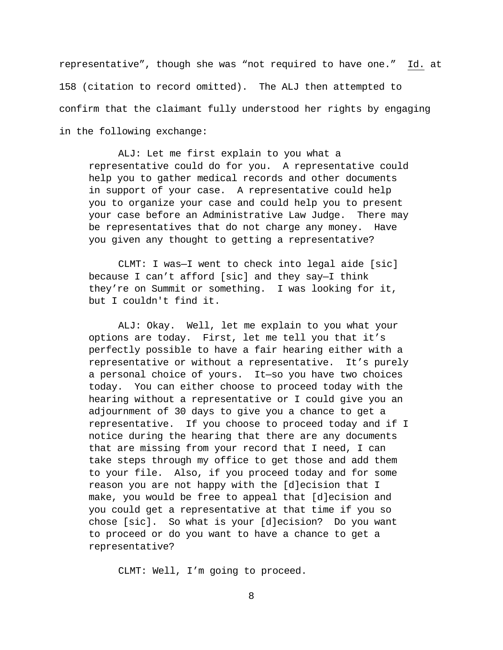representative", though she was "not required to have one." Id. at 158 (citation to record omitted). The ALJ then attempted to confirm that the claimant fully understood her rights by engaging in the following exchange:

ALJ: Let me first explain to you what a representative could do for you. A representative could help you to gather medical records and other documents in support of your case. A representative could help you to organize your case and could help you to present your case before an Administrative Law Judge. There may be representatives that do not charge any money. Have you given any thought to getting a representative?

CLMT: I was—I went to check into legal aide [sic] because I can't afford [sic] and they say—I think they're on Summit or something. I was looking for it, but I couldn't find it.

ALJ: Okay. Well, let me explain to you what your options are today. First, let me tell you that it's perfectly possible to have a fair hearing either with a representative or without a representative. It's purely a personal choice of yours. It—so you have two choices today. You can either choose to proceed today with the hearing without a representative or I could give you an adjournment of 30 days to give you a chance to get a representative. If you choose to proceed today and if I notice during the hearing that there are any documents that are missing from your record that I need, I can take steps through my office to get those and add them to your file. Also, if you proceed today and for some reason you are not happy with the [d]ecision that I make, you would be free to appeal that [d]ecision and you could get a representative at that time if you so chose [sic]. So what is your [d]ecision? Do you want to proceed or do you want to have a chance to get a representative?

CLMT: Well, I'm going to proceed.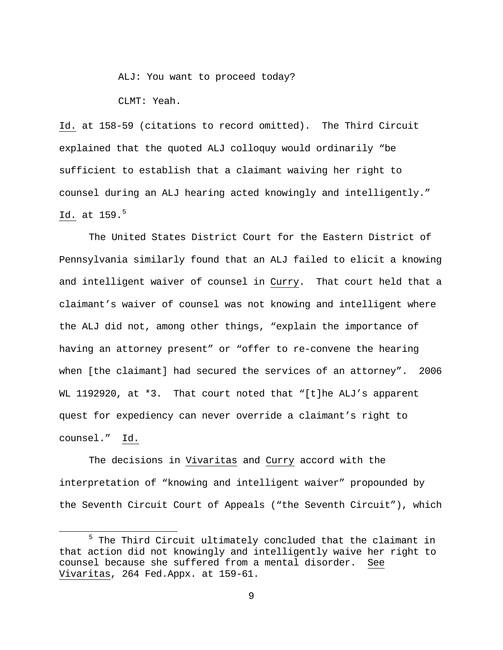ALJ: You want to proceed today?

CLMT: Yeah.

l

Id. at 158-59 (citations to record omitted). The Third Circuit explained that the quoted ALJ colloquy would ordinarily "be sufficient to establish that a claimant waiving her right to counsel during an ALJ hearing acted knowingly and intelligently." Id. at  $159.^5$  $159.^5$  $159.^5$ 

The United States District Court for the Eastern District of Pennsylvania similarly found that an ALJ failed to elicit a knowing and intelligent waiver of counsel in Curry. That court held that a claimant's waiver of counsel was not knowing and intelligent where the ALJ did not, among other things, "explain the importance of having an attorney present" or "offer to re-convene the hearing when [the claimant] had secured the services of an attorney". 2006 WL 1192920, at \*3. That court noted that "[t]he ALJ's apparent quest for expediency can never override a claimant's right to counsel." Id.

The decisions in Vivaritas and Curry accord with the interpretation of "knowing and intelligent waiver" propounded by the Seventh Circuit Court of Appeals ("the Seventh Circuit"), which

<span id="page-8-0"></span><sup>&</sup>lt;sup>5</sup> The Third Circuit ultimately concluded that the claimant in that action did not knowingly and intelligently waive her right to counsel because she suffered from a mental disorder. See Vivaritas, 264 Fed.Appx. at 159-61.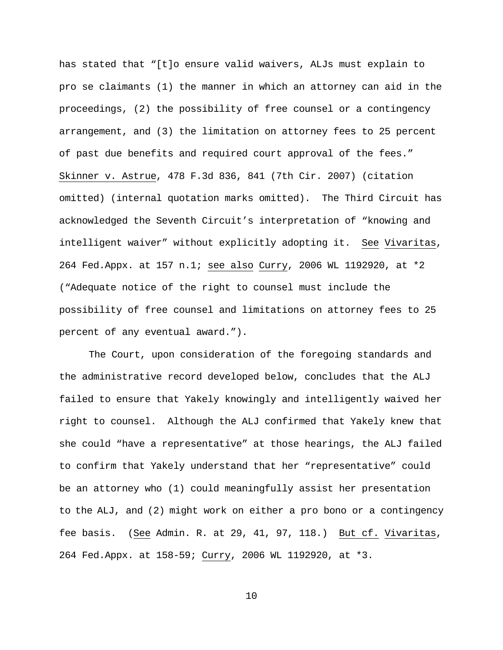has stated that "[t]o ensure valid waivers, ALJs must explain to pro se claimants (1) the manner in which an attorney can aid in the proceedings, (2) the possibility of free counsel or a contingency arrangement, and (3) the limitation on attorney fees to 25 percent of past due benefits and required court approval of the fees." Skinner v. Astrue, 478 F.3d 836, 841 (7th Cir. 2007) (citation omitted) (internal quotation marks omitted). The Third Circuit has acknowledged the Seventh Circuit's interpretation of "knowing and intelligent waiver" without explicitly adopting it. See Vivaritas, 264 Fed.Appx. at 157 n.1; see also Curry, 2006 WL 1192920, at \*2 ("Adequate notice of the right to counsel must include the possibility of free counsel and limitations on attorney fees to 25 percent of any eventual award.").

The Court, upon consideration of the foregoing standards and the administrative record developed below, concludes that the ALJ failed to ensure that Yakely knowingly and intelligently waived her right to counsel. Although the ALJ confirmed that Yakely knew that she could "have a representative" at those hearings, the ALJ failed to confirm that Yakely understand that her "representative" could be an attorney who (1) could meaningfully assist her presentation to the ALJ, and (2) might work on either a pro bono or a contingency fee basis. (See Admin. R. at 29, 41, 97, 118.) But cf. Vivaritas, 264 Fed.Appx. at 158-59; Curry, 2006 WL 1192920, at \*3.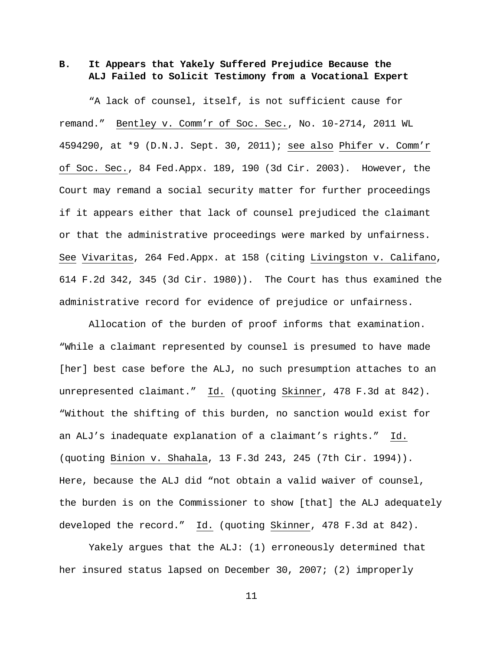**B. It Appears that Yakely Suffered Prejudice Because the ALJ Failed to Solicit Testimony from a Vocational Expert**

"A lack of counsel, itself, is not sufficient cause for remand." Bentley v. Comm'r of Soc. Sec., No. 10-2714, 2011 WL 4594290, at \*9 (D.N.J. Sept. 30, 2011); see also Phifer v. Comm'r of Soc. Sec., 84 Fed.Appx. 189, 190 (3d Cir. 2003). However, the Court may remand a social security matter for further proceedings if it appears either that lack of counsel prejudiced the claimant or that the administrative proceedings were marked by unfairness. See Vivaritas, 264 Fed.Appx. at 158 (citing Livingston v. Califano, 614 F.2d 342, 345 (3d Cir. 1980)). The Court has thus examined the administrative record for evidence of prejudice or unfairness.

Allocation of the burden of proof informs that examination. "While a claimant represented by counsel is presumed to have made [her] best case before the ALJ, no such presumption attaches to an unrepresented claimant." Id. (quoting Skinner, 478 F.3d at 842). "Without the shifting of this burden, no sanction would exist for an ALJ's inadequate explanation of a claimant's rights." Id. (quoting Binion v. Shahala, 13 F.3d 243, 245 (7th Cir. 1994)). Here, because the ALJ did "not obtain a valid waiver of counsel, the burden is on the Commissioner to show [that] the ALJ adequately developed the record." Id. (quoting Skinner, 478 F.3d at 842).

Yakely argues that the ALJ: (1) erroneously determined that her insured status lapsed on December 30, 2007; (2) improperly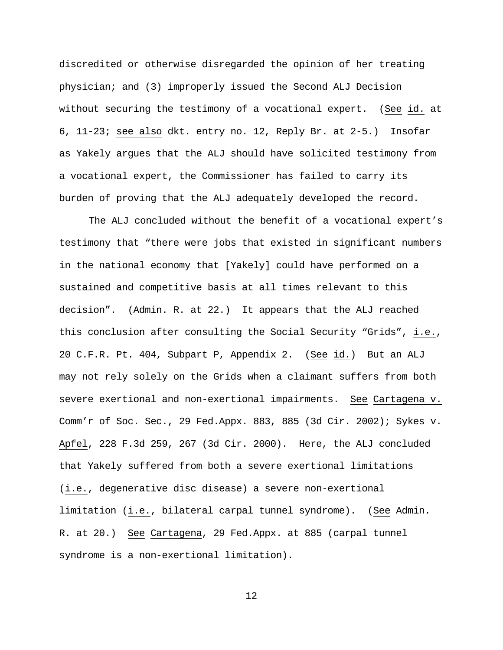discredited or otherwise disregarded the opinion of her treating physician; and (3) improperly issued the Second ALJ Decision without securing the testimony of a vocational expert. (See id. at 6, 11-23; see also dkt. entry no. 12, Reply Br. at 2-5.) Insofar as Yakely argues that the ALJ should have solicited testimony from a vocational expert, the Commissioner has failed to carry its burden of proving that the ALJ adequately developed the record.

The ALJ concluded without the benefit of a vocational expert's testimony that "there were jobs that existed in significant numbers in the national economy that [Yakely] could have performed on a sustained and competitive basis at all times relevant to this decision". (Admin. R. at 22.) It appears that the ALJ reached this conclusion after consulting the Social Security "Grids", i.e., 20 C.F.R. Pt. 404, Subpart P, Appendix 2. (See id.) But an ALJ may not rely solely on the Grids when a claimant suffers from both severe exertional and non-exertional impairments. See Cartagena v. Comm'r of Soc. Sec., 29 Fed.Appx. 883, 885 (3d Cir. 2002); Sykes v. Apfel, 228 F.3d 259, 267 (3d Cir. 2000). Here, the ALJ concluded that Yakely suffered from both a severe exertional limitations (i.e., degenerative disc disease) a severe non-exertional limitation (i.e., bilateral carpal tunnel syndrome). (See Admin. R. at 20.) See Cartagena, 29 Fed.Appx. at 885 (carpal tunnel syndrome is a non-exertional limitation).